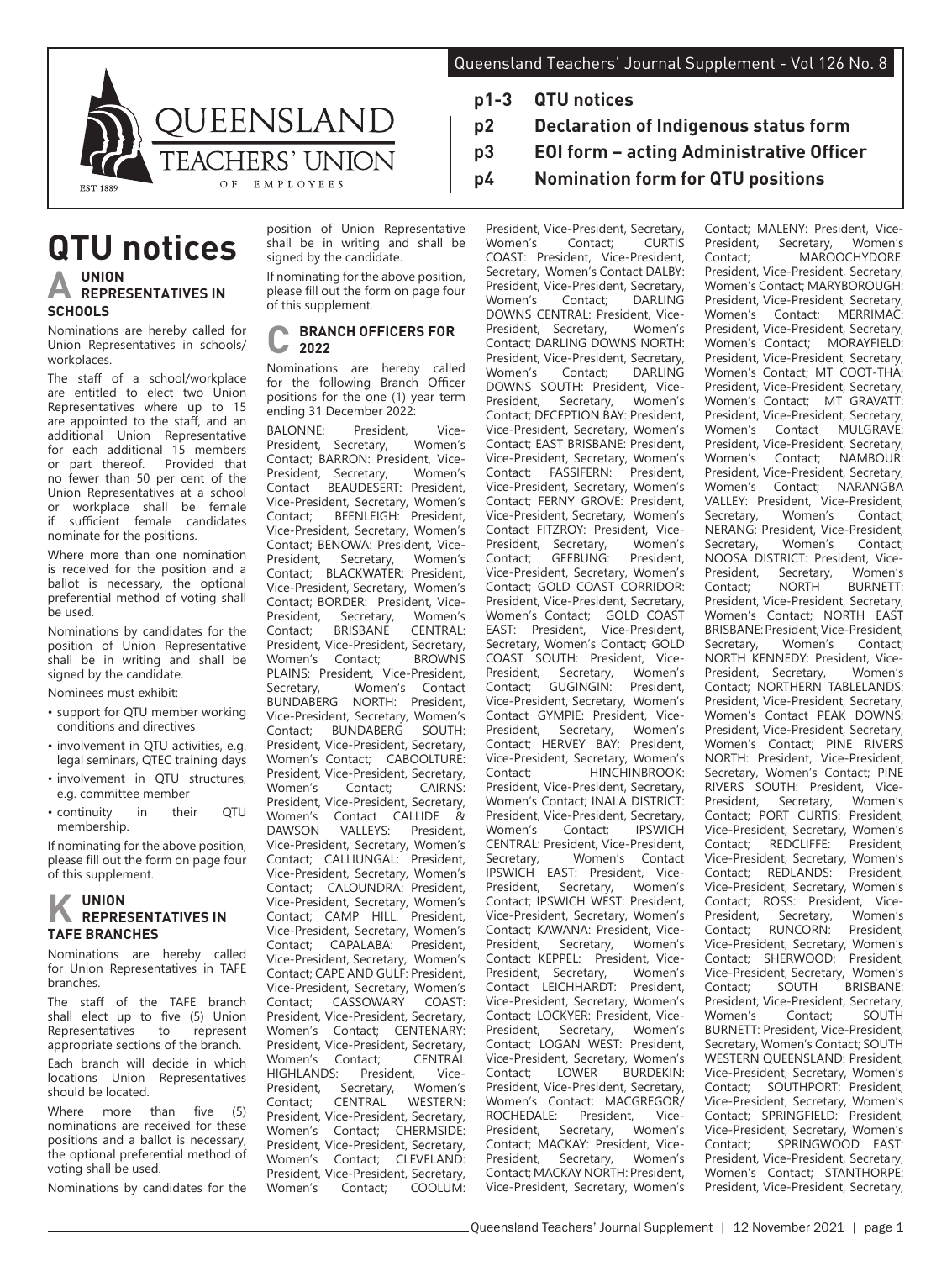

# **QTU notices**

## **A UNION REPRESENTATIVES IN SCHOOLS**

Nominations are hereby called for Union Representatives in schools/ workplaces.

The staff of a school/workplace are entitled to elect two Union Representatives where up to 15 are appointed to the staff, and an additional Union Representative for each additional 15 members<br>or part thereof. Provided that or part thereof. Provided that no fewer than 50 per cent of the Union Representatives at a school<br>or workplace shall be female or workplace shall be female<br>if sufficient female candidates sufficient female candidates nominate for the positions.

Where more than one nomination is received for the position and a ballot is necessary, the optional preferential method of voting shall be used.

Nominations by candidates for the position of Union Representative shall be in writing and shall be signed by the candidate.

Nominees must exhibit:

- support for QTU member working conditions and directives
- involvement in QTU activities, e.g. legal seminars, QTEC training days
- involvement in QTU structures, e.g. committee member
- continuity in their QTU membership.

If nominating for the above position, please fill out the form on page four of this supplement.



Nominations are hereby called for Union Representatives in TAFE branches.

The staff of the TAFE branch shall elect up to five (5) Union<br>Representatives to represent Representatives appropriate sections of the branch.

Each branch will decide in which locations Union Representatives should be located.

Where more than five (5) nominations are received for these positions and a ballot is necessary, the optional preferential method of voting shall be used.

Nominations by candidates for the

position of Union Representative shall be in writing and shall be signed by the candidate.

If nominating for the above position, please fill out the form on page four of this supplement.

#### **C BRANCH OFFICERS FOR 2022**

Nominations are hereby called for the following Branch Officer positions for the one (1) year term ending 31 December 2022:

BALONNE: President, Vice-<br>President, Secretary, Women's President, Secretary, Contact; BARRON: President, Vice-President, Secretary, Women's<br>Contact BEAUDESERT President BEAUDESERT: Vice-President, Secretary, Women's<br>Contact: BEENLEIGH: President. BEENLEIGH: President, Vice-President, Secretary, Women's Contact; BENOWA: President, Vice-<br>President, Secretary, Women's President, Secretary, Women's Contact; BLACKWATER: President, Vice-President, Secretary, Women's Contact; BORDER: President, Vice-<br>President. Secretary. Women's President, Secretary, Women's<br>Contact: BRISBANE CENTRAL: **BRISBANE** President, Vice-President, Secretary,<br>Women's Contact: RROWNS Women's Contact; PLAINS: President, Vice-President,<br>Secretary, Women's Contact Women's Contact<br>NORTH: President. **BUNDABERG** Vice-President, Secretary, Women's<br>Contact; BUNDABERG SOUTH: **BUNDABERG** President, Vice-President, Secretary, Women's Contact; CABOOLTURE: President, Vice-President, Secretary, Women's Contact; CAIRNS: President, Vice-President, Secretary,<br>Women's Contact CALLIDE & Women's Contact CALLIDE &<br>DAWSON VALLEYS: President, President, Vice-President, Secretary, Women's<br>Contact: CALLIUNGAL: President Contact: CALLIUNGAL: Vice-President, Secretary, Women's Contact; CALOUNDRA: President, Vice-President, Secretary, Women's Contact; CAMP HILL: President, Vice-President, Secretary, Women's<br>Contact; CAPALABA: President, Contact; CAPALABA: Vice-President, Secretary, Women's Contact; CAPE AND GULF: President, Vice-President, Secretary, Women's<br>Contact: CASSOWARY COAST Contact: CASSOWARY President, Vice-President, Secretary, Women's Contact; CENTENARY: President, Vice-President, Secretary,<br>Women's Contact: CENTRAL Contact; HIGHLANDS: President, Vice-<br>President, Secretary, Women's Secretary,<br>CENTRAL Contact; CENTRAL WESTERN: President, Vice-President, Secretary,<br>Women's Contact: CHERMSIDE: Contact: CHERMSIDE: President, Vice-President, Secretary,<br>Women's Contact: CLEVELAND: CLEVELAND: President, Vice-President, Secretary, Women's Contact; COOLUM:

- Queensland Teachers' Journal Supplement Vol 126 No. 8
	- **p1-3 QTU notices**
	- **p2 Declaration of Indigenous status form**
	- **p3 EOI form acting Administrative Officer**
	- **p4 Nomination form for QTU positions**

President, Vice-President, Secretary,<br>Women's Contact: CURTIS Women's Contact; CURTIS COAST: President, Vice-President, Secretary, Women's Contact DALBY: President, Vice-President, Secretary,<br>Women's Contact: DARLING Women's Contact; DARLING DOWNS CENTRAL: President, Vice-President, Secretary, Women's Contact; DARLING DOWNS NORTH: President, Vice-President, Secretary,<br>Women's Contact: DARLING Women's Contact; DARLING DOWNS SOUTH: President, Vice-President, Secretary, Women's Contact; DECEPTION BAY: President, Vice-President, Secretary, Women's Contact; EAST BRISBANE: President, Vice-President, Secretary, Women's<br>Contact: FASSIFERN: President, Contact: FASSIFFRN: Vice-President, Secretary, Women's Contact; FERNY GROVE: President, Vice-President, Secretary, Women's Contact FITZROY: President, Vice-<br>President. Secretary, Women's President, Secretary, Women's<br>Contact; GEEBUNG: President, Contact; GEEBUNG: Vice-President, Secretary, Women's Contact; GOLD COAST CORRIDOR: President, Vice-President, Secretary, Women's Contact: GOLD COAST EAST: President, Vice-President, Secretary, Women's Contact; GOLD COAST SOUTH: President, Vice-Secretary, Women's<br>JUGINGIN: President  $Context:$  GUGINGIN $:$ Vice-President, Secretary, Women's Contact GYMPIE: President, Vice-President, Secretary, Women's Contact; HERVEY BAY: President, Vice-President, Secretary, Women's Contact: HINCHINBROOK: President, Vice-President, Secretary, Women's Contact; INALA DISTRICT: President, Vice-President, Secretary,<br>Women's Contact: IPSWICH Women's Contact; IPSWICH CENTRAL: President, Vice-President, Women's Contact IPSWICH EAST: President, Vice-Secretary, Contact; IPSWICH WEST: President, Vice-President, Secretary, Women's Contact; KAWANA: President, Vice-<br>President, Secretary, Women's Secretary, Contact; KEPPEL: President, Vice-President, Secretary, Women's<br>Contact LEICHHARDT: President. Contact LEICHHARDT: Vice-President, Secretary, Women's Contact; LOCKYER: President, Vice-<br>President, Secretary, Women's President, Contact; LOGAN WEST: President, Vice-President, Secretary, Women's<br>Contact: LOWER BURDEKIN: Contact: LOWER BURDEKIN: President, Vice-President, Secretary, Women's Contact; MACGREGOR/<br>ROCHEDALE: President. Vice-ROCHEDALE: President, Vice-President, Secretary, Women's Contact; MACKAY: President, Vice-<br>President, Secretary, Women's President, Contact; MACKAY NORTH: President, Vice-President, Secretary, Women's

Contact; MALENY: President, Vice-<br>President. Secretary. Women's President, Secretary,<br>Contact: MARC MAROOCHYDORE: President, Vice-President, Secretary, Women's Contact; MARYBOROUGH: President, Vice-President, Secretary,<br>Women's Contact: MERRIMAC: Contact; MERRIMAC: President, Vice-President, Secretary, Women's Contact; MORAYFIELD: President, Vice-President, Secretary, Women's Contact; MT COOT-THA: President, Vice-President, Secretary, Women's Contact; MT GRAVATT: President, Vice-President, Secretary,<br>Women's Contact MULGRAVE: MULGRAVE: President, Vice-President, Secretary,<br>Women's Contact: NAMBOUR: NAMBOUR: President, Vice-President, Secretary,<br>Women's Contact; NARANGBA Contact; VALLEY: President, Vice-President,<br>Secretary. Women's Contact: Secretary, NERANG: President, Vice-President, Secretary, NOOSA DISTRICT: President, Vice-President, Secretary,<br>Contact; NORTH BURNETT: President, Vice-President, Secretary, Women's Contact; NORTH EAST BRISBANE: President, Vice-President,<br>Secretary. Women's Contact: Women's NORTH KENNEDY: President, Vice-President, Secretary, Contact; NORTHERN TABLELANDS: President, Vice-President, Secretary, Women's Contact PEAK DOWNS: President, Vice-President, Secretary, Women's Contact; PINE RIVERS NORTH: President, Vice-President, Secretary, Women's Contact; PINE RIVERS SOUTH: President, Vice-<br>President, Secretary, Women's Secretary, Contact; PORT CURTIS: President, Vice-President, Secretary, Women's<br>Contact: REDCLIFFE: President. REDCLIFFE: Vice-President, Secretary, Women's<br>Contact; REDLANDS: President, REDLANDS: Vice-President, Secretary, Women's Contact; ROSS: President, Vice-<br>President, Secretary, Women's Women's<br>President, Contact: RUNCORN: Vice-President, Secretary, Women's<br>Contact: SHERWOOD: President Contact; SHERWOOD: Vice-President, Secretary, Women's<br>Contact; SOUTH BRISBANE; BRISBANE: President, Vice-President, Secretary, Women's Contact; SOUTH BURNETT: President, Vice-President, Secretary, Women's Contact; SOUTH WESTERN QUEENSLAND: President, Vice-President, Secretary, Women's Contact; SOUTHPORT: President, Vice-President, Secretary, Women's Contact: SPRINGFIELD: President. Vice-President, Secretary, Women's<br>Contact: SPRINGWOOD FAST SPRINGWOOD EAST: President, Vice-President, Secretary, Women's Contact; STANTHORPE: President, Vice-President, Secretary,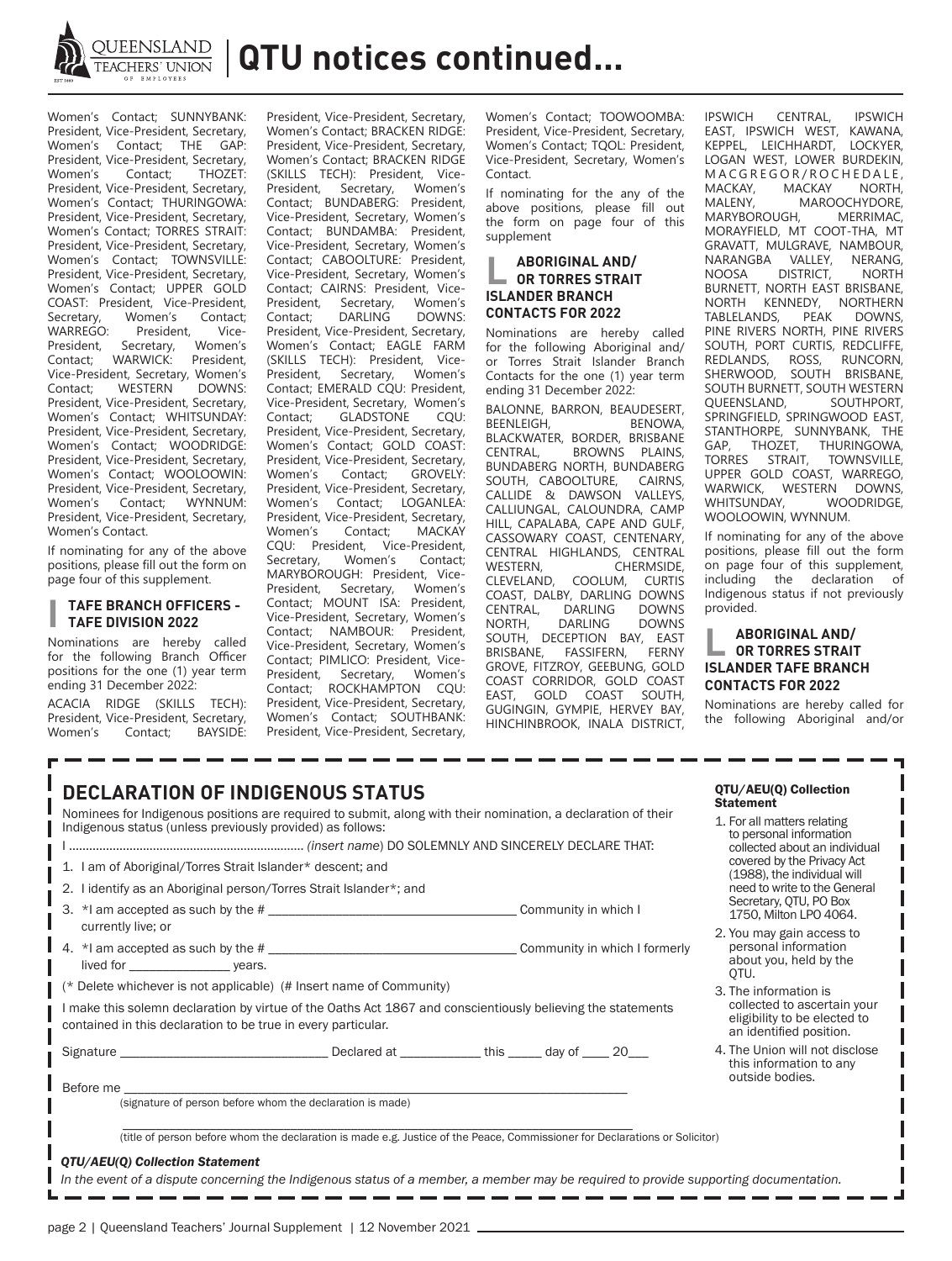

Women's Contact; SUNNYBANK: President, Vice-President, Secretary, Women's Contact; THE GAP: President, Vice-President, Secretary, Women's Contact; THOZET: President, Vice-President, Secretary, Women's Contact; THURINGOWA: President, Vice-President, Secretary, Women's Contact; TORRES STRAIT: President, Vice-President, Secretary, Women's Contact; TOWNSVILLE: President, Vice-President, Secretary, Women's Contact; UPPER GOLD COAST: President, Vice-President,<br>Secretary. Women's Contact: Secretary, Women's Contact;<br>WARREGO: President. Vice-WARREGO: President, Vice-<br>President Secretary Women's President, Secretary, Women's<br>Contact; WARWICK: President, WARWICK: Vice-President, Secretary, Women's<br>Contact: WESTERN DOWNS: WESTERN President, Vice-President, Secretary, Women's Contact; WHITSUNDAY: President, Vice-President, Secretary, Women's Contact; WOODRIDGE: President, Vice-President, Secretary, Women's Contact; WOOLOOWIN: President, Vice-President, Secretary,<br>Women's Contact: WYNNUM: Contact: President, Vice-President, Secretary, Women's Contact.

If nominating for any of the above positions, please fill out the form on page four of this supplement.

#### **I TAFE BRANCH OFFICERS - TAFE DIVISION 2022**

Nominations are hereby called for the following Branch Officer positions for the one (1) year term ending 31 December 2022:

ACACIA RIDGE (SKILLS TECH): President, Vice-President, Secretary,<br>Women's Contact: BAYSIDE: BAYSIDE:

President, Vice-President, Secretary, Women's Contact; BRACKEN RIDGE: President, Vice-President, Secretary, Women's Contact; BRACKEN RIDGE (SKILLS TECH): President, Vice-<br>President, Secretary, Women's Secretary, Contact; BUNDABERG: President, Vice-President, Secretary, Women's Contact; BUNDAMBA: President, Vice-President, Secretary, Women's Contact; CABOOLTURE: President, Vice-President, Secretary, Women's Contact; CAIRNS: President, Vice-<br>President, Secretary, Women's President, Secretary, Women's<br>Contact: DARLING DOWNS: DARLING President, Vice-President, Secretary, Women's Contact; EAGLE FARM (SKILLS TECH): President, Vice-<br>President, Secretary, Women's Secretary, Women's Contact; EMERALD CQU: President, Vice-President, Secretary, Women's<br>Contact: GLADSTONE COU: Contact: GLADSTONE President, Vice-President, Secretary, Women's Contact; GOLD COAST: President, Vice-President, Secretary,<br>Women's Contact: GROVELY: Contact; President, Vice-President, Secretary, Women's Contact; LOGANLEA: President, Vice-President, Secretary,<br>Women's Contact: MACKAY Contact; CQU: President, Vice-President,<br>Secretary Women's Contact: Women's Contact: MARYBÓROUGH: President, Vice-<br>President, Secretary, Women's President, Contact; MOUNT ISA: President, Vice-President, Secretary, Women's Contact; NAMBOUR: President, Vice-President, Secretary, Women's Contact; PIMLICO: President, Vice-<br>President, Secretary, Women's Secretary, Women's Contact; ROCKHAMPTON CQU: President, Vice-President, Secretary, Women's Contact; SOUTHBANK: President, Vice-President, Secretary,

Women's Contact; TOOWOOMBA: President, Vice-President, Secretary, Women's Contact; TQOL: President, Vice-President, Secretary, Women's Contact.

If nominating for the any of the above positions, please fill out the form on page four of this supplement

#### **L ABORIGINAL AND/ OR TORRES STRAIT ISLANDER BRANCH CONTACTS FOR 2022**

Nominations are hereby called for the following Aboriginal and/ or Torres Strait Islander Branch Contacts for the one (1) year term ending 31 December 2022:

BALONNE, BARRON, BEAUDESERT,<br>BEENLEIGH, BENOWA, BEENLEIGH, BLACKWATER, BORDER, BRISBANE<br>CENTRAL. BROWNS PLAINS. BROWNS PLAINS, BUNDABERG NORTH, BUNDABERG<br>SOUTH. CABOOLTURE. CAIRNS. SOUTH, CABOOLTURE, CALLIDE & DAWSON VALLEYS, CALLIUNGAL, CALOUNDRA, CAMP HILL, CAPALABA, CAPE AND GULF, CASSOWARY COAST, CENTENARY, CENTRAL HIGHLANDS, CENTRAL<br>WESTERN, CHERMSIDE, WESTERN, CHERMSIDE,<br>CLEVELAND. COOLUM. CURTIS COOLUM, CURTIS COAST, DALBY, DARLING DOWNS CENTRAL, DARLING DOWNS<br>NORTH DARLING DOWNS NORTH, DARLING<br>SOUTH, DECEPTION SOUTH, DECEPTION BAY, EAST<br>BRISBANE. FASSIFERN. FERNY FASSIFERN. GROVE, FITZROY, GEEBUNG, GOLD COAST CORRIDOR, GOLD COAST EAST, GOLD COAST SOUTH, GUGINGIN, GYMPIE, HERVEY BAY, HINCHINBROOK, INALA DISTRICT,

IPSWICH CENTRAL, IPSWICH EAST, IPSWICH WEST, KAWANA, KEPPEL, LEICHHARDT, LOCKYER, LOGAN WEST, LOWER BURDEKIN, M A C G R E G O R / R O C H E D A L E ,<br>MACKAY, MACKAY NORTH, MACKAY, MACKAY<br>MALENY, MARO MAROOCHYDORE,<br>H. MERRIMAC. MARYBOROUGH, MORAYFIELD, MT COOT-THA, MT GRAVATT, MULGRAVE, NAMBOUR,<br>NARANGBA VALLEY, NERANG, NARANGBA VALLEY, NERANG, DISTRICT, BURNETT, NORTH EAST BRISBANE, NORTH KENNEDY, NORTHERN TABLELANDS, PEAK DOWNS, PINE RIVERS NORTH, PINE RIVERS SOUTH, PORT CURTIS, REDCLIFFE,<br>REDLANDS, ROSS, RUNCORN, REDLANDS, ROSS, SHERWOOD, SOUTH BRISBANE, **SOUTH BURNETT, SOUTH WESTERN**<br>OUFFNSLAND. SOUTHPORT. QUEENSLAND, SPRINGFIELD, SPRINGWOOD EAST, STANTHORPE, SUNNYBANK, THE GAP, THOZET, THURINGOWA, TORRES STRAIT, TOWNSVILLE, UPPER GOLD COAST, WARREGO, WARWICK, WESTERN DOWNS,<br>WHITSUNDAY. WOODRIDGE. WHITSUNDAY, WOOLOOWIN, WYNNUM.

If nominating for any of the above positions, please fill out the form on page four of this supplement,<br>including the declaration of the declaration Indigenous status if not previously provided.

#### **L ABORIGINAL AND/ OR TORRES STRAIT ISLANDER TAFE BRANCH CONTACTS FOR 2022**

Nominations are hereby called for the following Aboriginal and/or

| <b>DECLARATION OF INDIGENOUS STATUS</b><br>Nominees for Indigenous positions are required to submit, along with their nomination, a declaration of their<br>Indigenous status (unless previously provided) as follows:<br>1. I am of Aboriginal/Torres Strait Islander* descent; and                                  |  | QTU/AEU(Q) Collection<br><b>Statement</b><br>1. For all matters relating<br>to personal information<br>collected about an individual<br>covered by the Privacy Act<br>(1988), the individual will      |
|-----------------------------------------------------------------------------------------------------------------------------------------------------------------------------------------------------------------------------------------------------------------------------------------------------------------------|--|--------------------------------------------------------------------------------------------------------------------------------------------------------------------------------------------------------|
| 2. I identify as an Aboriginal person/Torres Strait Islander*; and<br>3. *I am accepted as such by the #                                                                                                                                                                                                              |  | need to write to the General<br>Secretary, QTU, PO Box<br>1750, Milton LPO 4064.                                                                                                                       |
| currently live; or<br>lived for _______________________ years.<br>(* Delete whichever is not applicable) (# Insert name of Community)<br>I make this solemn declaration by virtue of the Oaths Act 1867 and conscientiously believing the statements<br>contained in this declaration to be true in every particular. |  | 2. You may gain access to<br>personal information<br>about you, held by the<br>OTU.<br>3. The information is<br>collected to ascertain your<br>eligibility to be elected to<br>an identified position. |
| Signature enterprise and the second because of the second behavior of this enterprise day of 20                                                                                                                                                                                                                       |  | 4. The Union will not disclose<br>this information to any<br>outside bodies.                                                                                                                           |
| Before me and the state of the state of the state of the state of the state of the state of the state of the state of the state of the state of the state of the state of the state of the state of the state of the state of<br>(signature of person before whom the declaration is made)                            |  |                                                                                                                                                                                                        |
| (title of person before whom the declaration is made e.g. Justice of the Peace, Commissioner for Declarations or Solicitor)                                                                                                                                                                                           |  |                                                                                                                                                                                                        |
| QTU/AEU(Q) Collection Statement<br>In the event of a dispute concerning the Indigenous status of a member, a member may be required to provide supporting documentation.                                                                                                                                              |  |                                                                                                                                                                                                        |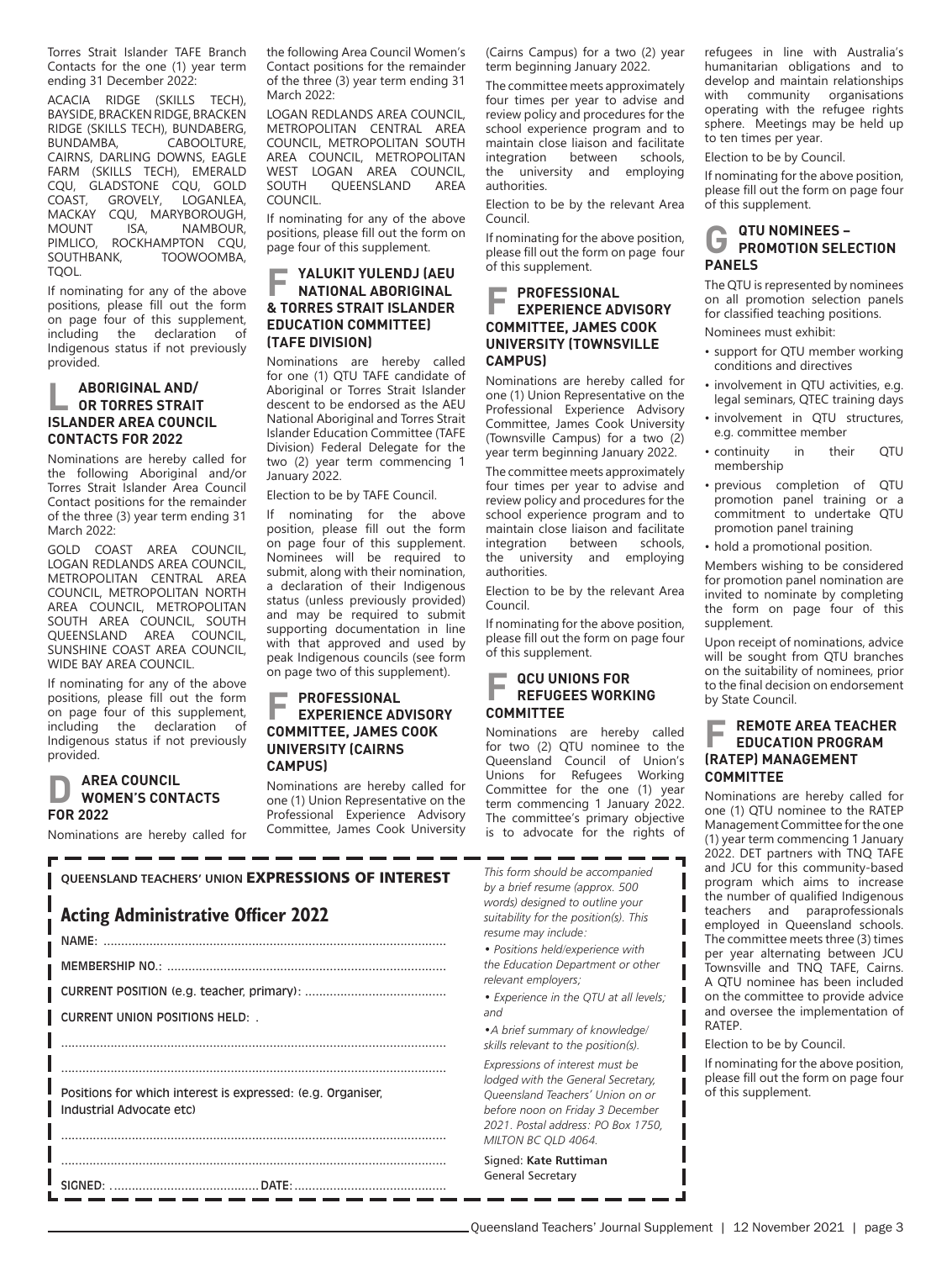Torres Strait Islander TAFE Branch Contacts for the one (1) year term ending 31 December 2022:

ACACIA RIDGE (SKILLS TECH), BAYSIDE, BRACKEN RIDGE, BRACKEN RIDGE (SKILLS TECH), BUNDABERG, BUNDAMBA, CAIRNS, DARLING DOWNS, EAGLE FARM (SKILLS TECH), EMERALD CQU, GLADSTONE CQU, GOLD<br>COAST, GROVELY, LOGANLEA, LOGANLEA, MACKAY CQU, MARYBOROUGH,<br>MOUNT ISA NAMBOUR MOUNT ISA, NAMBOUR,<br>PIMLICO, ROCKHAMPTON CQU, PIMLICO, ROCKHAMPTON CQU,<br>SOUTHBANK. TOOWOOMBA. TOOWOOMBA, TQOL.

If nominating for any of the above positions, please fill out the form on page four of this supplement, including the declaration of Indigenous status if not previously provided.

#### **L ABORIGINAL AND/ OR TORRES STRAIT ISLANDER AREA COUNCIL CONTACTS FOR 2022**

Nominations are hereby called for the following Aboriginal and/or Torres Strait Islander Area Council Contact positions for the remainder of the three (3) year term ending 31 March 2022<sup>.</sup>

GOLD COAST AREA COUNCIL, LOGAN REDLANDS AREA COUNCIL, METROPOLITAN CENTRAL AREA COUNCIL, METROPOLITAN NORTH AREA COUNCIL, METROPOLITAN SOUTH AREA COUNCIL, SOUTH QUEENSLAND AREA COUNCIL, SUNSHINE COAST AREA COUNCIL, WIDE BAY AREA COUNCIL.

If nominating for any of the above positions, please fill out the form on page four of this supplement, including the declaration of Indigenous status if not previously provided.



Nominations are hereby called for

the following Area Council Women's Contact positions for the remainder of the three (3) year term ending 31 March 2022:

LOGAN REDLANDS AREA COUNCIL, METROPOLITAN CENTRAL AREA COUNCIL, METROPOLITAN SOUTH AREA COUNCIL, METROPOLITAN WEST LOGAN AREA COUNCIL,<br>SOUTH OUEENSLAND AREA OUEENSLAND COUNCIL.

If nominating for any of the above positions, please fill out the form on page four of this supplement.

#### **F YALUKIT YULENDJ (AEU NATIONAL ABORIGINAL & TORRES STRAIT ISLANDER EDUCATION COMMITTEE) (TAFE DIVISION)**

Nominations are hereby called for one (1) QTU TAFE candidate of Aboriginal or Torres Strait Islander descent to be endorsed as the AEU National Aboriginal and Torres Strait Islander Education Committee (TAFE Division) Federal Delegate for the two (2) year term commencing 1 January 2022.

Election to be by TAFE Council.

If nominating for the above position, please fill out the form on page four of this supplement. Nominees will be required to submit, along with their nomination, a declaration of their Indigenous status (unless previously provided) and may be required to submit supporting documentation in line with that approved and used by peak Indigenous councils (see form on page two of this supplement).

#### **F PROFESSIONAL EXPERIENCE ADVISORY COMMITTEE, JAMES COOK UNIVERSITY (CAIRNS CAMPUS)**

Nominations are hereby called for one (1) Union Representative on the Professional Experience Advisory Committee, James Cook University

| QUEENSLAND TEACHERS' UNION EXPRESSIONS OF INTEREST          | This fo<br>by a bi            |
|-------------------------------------------------------------|-------------------------------|
| <b>Acting Administrative Officer 2022</b>                   | words)<br>suitabi<br>resume   |
|                                                             | • Posit                       |
|                                                             | the Fd<br>relevar             |
|                                                             | $\bullet$ Expe                |
| CURRENT UNION POSITIONS HELD: .                             | and                           |
|                                                             | $\bullet$ A brie<br>skills re |
|                                                             | Expres.<br>lodged             |
| Positions for which interest is expressed: (e.g. Organiser, | Queen                         |
| I Industrial Advocate etc)                                  | before<br>2021.               |
|                                                             | <b>MILTO</b>                  |
|                                                             | Signed                        |
|                                                             | Gener                         |
|                                                             |                               |

(Cairns Campus) for a two (2) year term beginning January 2022.

The committee meets approximately four times per year to advise and review policy and procedures for the school experience program and to maintain close liaison and facilitate<br>integration between schools. between schools, the university and employing authorities.

Election to be by the relevant Area Council.

If nominating for the above position, please fill out the form on page four of this supplement.

## **F PROFESSIONAL EXPERIENCE ADVISORY COMMITTEE, JAMES COOK UNIVERSITY (TOWNSVILLE CAMPUS)**

Nominations are hereby called for one (1) Union Representative on the Professional Experience Advisory Committee, James Cook University (Townsville Campus) for a two (2) year term beginning January 2022.

The committee meets approximately four times per year to advise and review policy and procedures for the school experience program and to maintain close liaison and facilitate<br>integration between schools. between schools, the university and employing authorities.

Election to be by the relevant Area Council.

If nominating for the above position, please fill out the form on page four of this supplement.

## **F QCU UNIONS FOR REFUGEES WORKING COMMITTEE**

Nominations are hereby called for two (2) QTU nominee to the Queensland Council of Union's Unions for Refugees Working Committee for the one (1) year term commencing 1 January 2022. The committee's primary objective is to advocate for the rights of

*This form should be accompanied by a brief resume (approx. 500 words) designed to outline your suitability for the position(s). This resume may include:*

*• Positions held/experience with the Education Department or other relevant employers;*

*• Experience in the QTU at all levels;* 

 $i$ ef summary of knowledge/ *skills relevant to the position(s).*

*Expressions of interest must be lodged with the General Secretary, Queensland Teachers' Union on or before noon on Friday 3 December 2021. Postal address: PO Box 1750, MILTON BC QLD 4064.*

d: **Kate Ruttiman** ral Secretary

refugees in line with Australia's humanitarian obligations and to develop and maintain relationships<br>with community organisations community organisations operating with the refugee rights sphere. Meetings may be held up to ten times per year.

Election to be by Council.

If nominating for the above position, please fill out the form on page four of this supplement.

## **G QTU NOMINEES – PROMOTION SELECTION PANELS**

The QTU is represented by nominees on all promotion selection panels for classified teaching positions.

Nominees must exhibit:

- support for QTU member working conditions and directives
- involvement in QTU activities, e.g. legal seminars, QTEC training days
- involvement in QTU structures, e.g. committee member
- continuity in their QTU membership
- previous completion of QTU promotion panel training or a commitment to undertake QTU promotion panel training
- hold a promotional position.

Members wishing to be considered for promotion panel nomination are invited to nominate by completing the form on page four of this supplement.

Upon receipt of nominations, advice will be sought from OTU branches on the suitability of nominees, prior to the final decision on endorsement by State Council.

#### **F REMOTE AREA TEACHER EDUCATION PROGRAM (RATEP) MANAGEMENT COMMITTEE**

Nominations are hereby called for one (1) QTU nominee to the RATEP Management Committee for the one (1) year term commencing 1 January 2022. DET partners with TNQ TAFE and JCU for this community-based program which aims to increase the number of qualified Indigenous teachers and paraprofessionals employed in Queensland schools. The committee meets three (3) times per year alternating between JCU Townsville and TNQ TAFE, Cairns. A QTU nominee has been included on the committee to provide advice and oversee the implementation of RATEP.

Election to be by Council.

If nominating for the above position, please fill out the form on page four of this supplement.

I